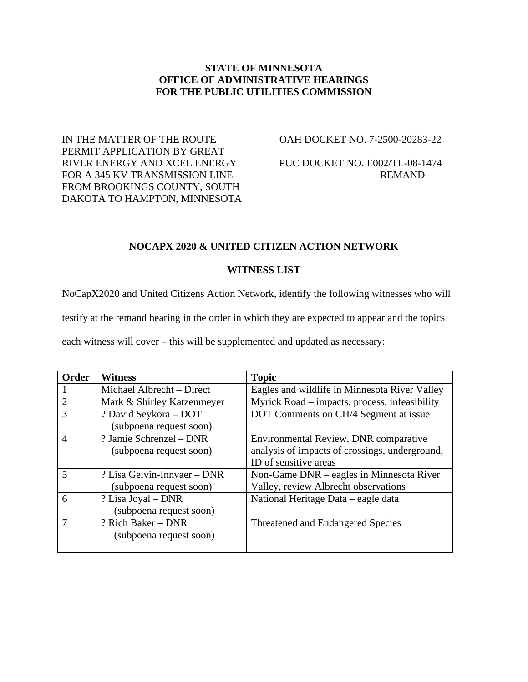#### **STATE OF MINNESOTA OFFICE OF ADMINISTRATIVE HEARINGS FOR THE PUBLIC UTILITIES COMMISSION**

IN THE MATTER OF THE ROUTE  $O$ AH DOCKET NO. 7-2500-20283-22 PERMIT APPLICATION BY GREAT RIVER ENERGY AND XCEL ENERGY PUC DOCKET NO. E002/TL-08-1474 FOR A 345 KV TRANSMISSION LINE REMAND FROM BROOKINGS COUNTY, SOUTH DAKOTA TO HAMPTON, MINNESOTA

## **NOCAPX 2020 & UNITED CITIZEN ACTION NETWORK**

## **WITNESS LIST**

NoCapX2020 and United Citizens Action Network, identify the following witnesses who will

testify at the remand hearing in the order in which they are expected to appear and the topics

each witness will cover – this will be supplemented and updated as necessary:

| <b>Order</b>            | <b>Witness</b>              | <b>Topic</b>                                   |
|-------------------------|-----------------------------|------------------------------------------------|
|                         | Michael Albrecht – Direct   | Eagles and wildlife in Minnesota River Valley  |
| $\overline{2}$          | Mark & Shirley Katzenmeyer  | Myrick Road – impacts, process, infeasibility  |
| 3                       | ? David Seykora - DOT       | DOT Comments on CH/4 Segment at issue          |
|                         | (subpoena request soon)     |                                                |
| $\overline{4}$          | ? Jamie Schrenzel – DNR     | Environmental Review, DNR comparative          |
|                         | (subpoena request soon)     | analysis of impacts of crossings, underground, |
|                         |                             | ID of sensitive areas                          |
| $\overline{\mathbf{5}}$ | ? Lisa Gelvin-Innvaer – DNR | Non-Game DNR – eagles in Minnesota River       |
|                         | (subpoena request soon)     | Valley, review Albrecht observations           |
| 6                       | ? Lisa Joyal – DNR          | National Heritage Data – eagle data            |
|                         | (subpoena request soon)     |                                                |
|                         | ? Rich Baker – DNR          | Threatened and Endangered Species              |
|                         | (subpoena request soon)     |                                                |
|                         |                             |                                                |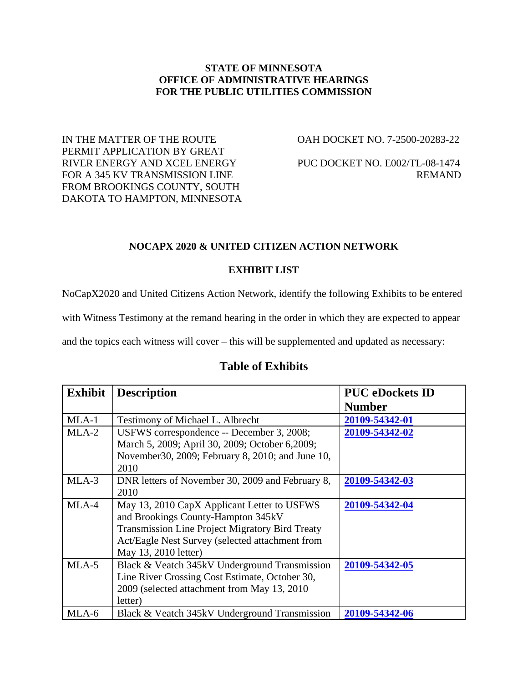### **STATE OF MINNESOTA OFFICE OF ADMINISTRATIVE HEARINGS FOR THE PUBLIC UTILITIES COMMISSION**

IN THE MATTER OF THE ROUTE  $O = 0$ AH DOCKET NO. 7-2500-20283-22 PERMIT APPLICATION BY GREAT RIVER ENERGY AND XCEL ENERGY PUC DOCKET NO. E002/TL-08-1474 FOR A 345 KV TRANSMISSION LINE REMAND FROM BROOKINGS COUNTY, SOUTH DAKOTA TO HAMPTON, MINNESOTA

### **NOCAPX 2020 & UNITED CITIZEN ACTION NETWORK**

## **EXHIBIT LIST**

NoCapX2020 and United Citizens Action Network, identify the following Exhibits to be entered

with Witness Testimony at the remand hearing in the order in which they are expected to appear

and the topics each witness will cover – this will be supplemented and updated as necessary:

| <b>Exhibit</b> | <b>Description</b>                                                                                                                                                                                                     | <b>PUC</b> eDockets ID<br><b>Number</b> |
|----------------|------------------------------------------------------------------------------------------------------------------------------------------------------------------------------------------------------------------------|-----------------------------------------|
| $MLA-1$        | Testimony of Michael L. Albrecht                                                                                                                                                                                       | 20109-54342-01                          |
| $MLA-2$        | USFWS correspondence -- December 3, 2008;<br>March 5, 2009; April 30, 2009; October 6,2009;<br>November 30, 2009; February 8, 2010; and June 10,<br>2010                                                               | 20109-54342-02                          |
| MLA-3          | DNR letters of November 30, 2009 and February 8,<br>2010                                                                                                                                                               | 20109-54342-03                          |
| MLA-4          | May 13, 2010 CapX Applicant Letter to USFWS<br>and Brookings County-Hampton 345kV<br><b>Transmission Line Project Migratory Bird Treaty</b><br>Act/Eagle Nest Survey (selected attachment from<br>May 13, 2010 letter) | 20109-54342-04                          |
| $MLA-5$        | Black & Veatch 345kV Underground Transmission<br>Line River Crossing Cost Estimate, October 30,<br>2009 (selected attachment from May 13, 2010)<br>letter)                                                             | 20109-54342-05                          |
| MLA-6          | Black & Veatch 345kV Underground Transmission                                                                                                                                                                          | 20109-54342-06                          |

# **Table of Exhibits**